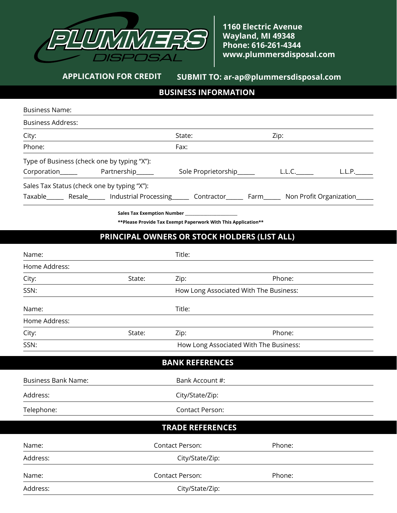

**1160 Electric Avenue Wayland, MI 49348 Phone: 616-261-4344 www.plummersdisposal.com**

## **APPLICATION FOR CREDIT SUBMIT TO: ar-ap@plummersdisposal.com**

## **BUSINESS INFORMATION**

| <b>Business Name:</b>                       |                                                                                                                     |                                                                |        |        |
|---------------------------------------------|---------------------------------------------------------------------------------------------------------------------|----------------------------------------------------------------|--------|--------|
| <b>Business Address:</b>                    |                                                                                                                     |                                                                |        |        |
| City:                                       |                                                                                                                     | State:                                                         | Zip:   |        |
| Phone:                                      |                                                                                                                     | Fax:                                                           |        |        |
| Type of Business (check one by typing "X"): |                                                                                                                     |                                                                |        |        |
|                                             |                                                                                                                     | Sole Proprietorship______                                      | L.L.C. | L.L.P. |
| Sales Tax Status (check one by typing "X"): |                                                                                                                     |                                                                |        |        |
|                                             | Taxable_______ Resale_______ Industrial Processing_______ Contractor_______ Farm_______ Non Profit Organization____ |                                                                |        |        |
|                                             |                                                                                                                     |                                                                |        |        |
|                                             |                                                                                                                     | ** Please Provide Tax Exempt Paperwork With This Application** |        |        |
|                                             | PRINCIPAL OWNERS OR STOCK HOLDERS (LIST ALL)                                                                        |                                                                |        |        |
| Name:                                       |                                                                                                                     | Title:                                                         |        |        |
| Home Address:                               |                                                                                                                     |                                                                |        |        |
| City:                                       | State:                                                                                                              | Zip:                                                           | Phone: |        |
| SSN:                                        |                                                                                                                     | How Long Associated With The Business:                         |        |        |
|                                             |                                                                                                                     |                                                                |        |        |
| Name:                                       |                                                                                                                     | Title:                                                         |        |        |
| Home Address:                               |                                                                                                                     |                                                                |        |        |
| City:                                       | State:                                                                                                              | Zip:                                                           | Phone: |        |
| SSN:                                        |                                                                                                                     | How Long Associated With The Business:                         |        |        |
|                                             |                                                                                                                     | <b>BANK REFERENCES</b>                                         |        |        |
| <b>Business Bank Name:</b>                  |                                                                                                                     | Bank Account #:                                                |        |        |
| Address:                                    |                                                                                                                     | City/State/Zip:                                                |        |        |
| Telephone:                                  |                                                                                                                     | Contact Person:                                                |        |        |
|                                             |                                                                                                                     | <b>TRADE REFERENCES</b>                                        |        |        |
| Name:                                       |                                                                                                                     | <b>Contact Person:</b>                                         | Phone: |        |
| Address:                                    |                                                                                                                     | City/State/Zip:                                                |        |        |
| Name:                                       |                                                                                                                     | <b>Contact Person:</b>                                         | Phone: |        |
| Address:                                    |                                                                                                                     | City/State/Zip:                                                |        |        |
|                                             |                                                                                                                     |                                                                |        |        |